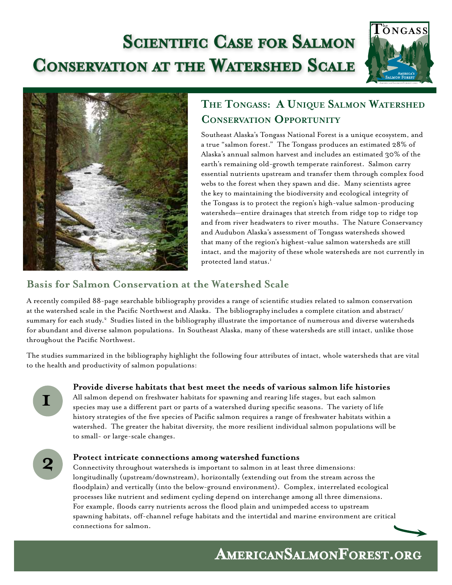# **Scientific Case for Salmon Conservation at the Watershed Scale**





# **The Tongass: A Unique Salmon Watershed Conservation Opportunity**

Southeast Alaska's Tongass National Forest is a unique ecosystem, and a true "salmon forest." The Tongass produces an estimated 28% of Alaska's annual salmon harvest and includes an estimated 30% of the earth's remaining old-growth temperate rainforest. Salmon carry essential nutrients upstream and transfer them through complex food webs to the forest when they spawn and die. Many scientists agree the key to maintaining the biodiversity and ecological integrity of the Tongass is to protect the region's high-value salmon-producing watersheds—entire drainages that stretch from ridge top to ridge top and from river headwaters to river mouths. The Nature Conservancy and Audubon Alaska's assessment of Tongass watersheds showed that many of the region's highest-value salmon watersheds are still intact, and the majority of these whole watersheds are not currently in protected land status.<sup>1</sup>

# **Basis for Salmon Conservation at the Watershed Scale**

A recently compiled 88-page searchable bibliography provides a range of scientific studies related to salmon conservation at the watershed scale in the Pacific Northwest and Alaska. The bibliographyincludes a complete citation and abstract/ summary for each study.<sup>2</sup> Studies listed in the bibliography illustrate the importance of numerous and diverse watersheds for abundant and diverse salmon populations. In Southeast Alaska, many of these watersheds are still intact, unlike those throughout the Pacific Northwest.

The studies summarized in the bibliography highlight the following four attributes of intact, whole watersheds that are vital to the health and productivity of salmon populations:

**1**

## **Provide diverse habitats that best meet the needs of various salmon life histories**

All salmon depend on freshwater habitats for spawning and rearing life stages, but each salmon species may use a different part or parts of a watershed during specific seasons. The variety of life history strategies of the five species of Pacific salmon requires a range of freshwater habitats within a watershed. The greater the habitat diversity, the more resilient individual salmon populations will be to small- or large-scale changes.



#### **Protect intricate connections among watershed functions**

Connectivity throughout watersheds is important to salmon in at least three dimensions: longitudinally (upstream/downstream), horizontally (extending out from the stream across the floodplain) and vertically (into the below-ground environment). Complex, interrelated ecological processes like nutrient and sediment cycling depend on interchange among all three dimensions. For example, floods carry nutrients across the flood plain and unimpeded access to upstream spawning habitats, off-channel refuge habitats and the intertidal and marine environment are critical connections for salmon.



**AmericanSalmonForest.org**